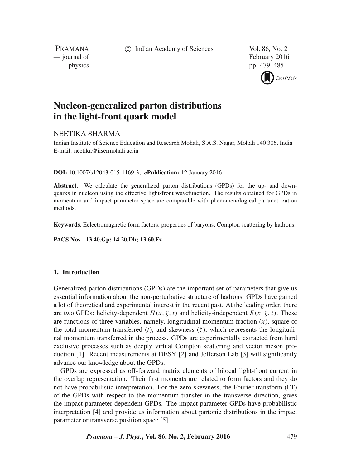c Indian Academy of Sciences Vol. 86, No. 2

PRAMANA

— journal of February 2016 physics pp. 479–485



# **Nucleon-generalized parton distributions in the light-front quark model**

# NEETIKA SHARMA

Indian Institute of Science Education and Research Mohali, S.A.S. Nagar, Mohali 140 306, India E-mail: neetika@iisermohali.ac.in

### **DOI:** 10.1007/s12043-015-1169-3; *e***Publication:** 12 January 2016

**Abstract.** We calculate the generalized parton distributions (GPDs) for the up- and downquarks in nucleon using the effective light-front wavefunction. The results obtained for GPDs in momentum and impact parameter space are comparable with phenomenological parametrization methods.

**Keywords.** Eelectromagnetic form factors; properties of baryons; Compton scattering by hadrons.

**PACS Nos 13.40.Gp; 14.20.Dh; 13.60.Fz**

# **1. Introduction**

Generalized parton distributions (GPDs) are the important set of parameters that give us essential information about the non-perturbative structure of hadrons. GPDs have gained a lot of theoretical and experimental interest in the recent past. At the leading order, there are two GPDs: helicity-dependent  $H(x, \zeta, t)$  and helicity-independent  $E(x, \zeta, t)$ . These are functions of three variables, namely, longitudinal momentum fraction  $(x)$ , square of the total momentum transferred (t), and skewness ( $\zeta$ ), which represents the longitudinal momentum transferred in the process. GPDs are experimentally extracted from hard exclusive processes such as deeply virtual Compton scattering and vector meson production [1]. Recent measurements at DESY [2] and Jefferson Lab [3] will significantly advance our knowledge about the GPDs.

GPDs are expressed as off-forward matrix elements of bilocal light-front current in the overlap representation. Their first moments are related to form factors and they do not have probabilistic interpretation. For the zero skewness, the Fourier transform (FT) of the GPDs with respect to the momentum transfer in the transverse direction, gives the impact parameter-dependent GPDs. The impact parameter GPDs have probabilistic interpretation [4] and provide us information about partonic distributions in the impact parameter or transverse position space [5].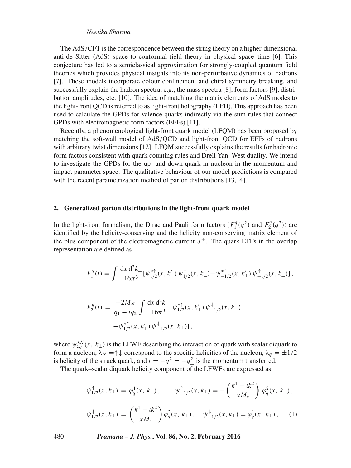## *Neetika Sharma*

The AdS/CFT is the correspondence between the string theory on a higher-dimensional anti-de Sitter (AdS) space to conformal field theory in physical space–time [6]. This conjecture has led to a semiclassical approximation for strongly-coupled quantum field theories which provides physical insights into its non-perturbative dynamics of hadrons [7]. These models incorporate colour confinement and chiral symmetry breaking, and successfully explain the hadron spectra, e.g., the mass spectra [8], form factors [9], distribution amplitudes, etc. [10]. The idea of matching the matrix elements of AdS modes to the light-front QCD is referred to as light-front holography (LFH). This approach has been used to calculate the GPDs for valence quarks indirectly via the sum rules that connect GPDs with electromagnetic form factors (EFFs) [11].

Recently, a phenomenological light-front quark model (LFQM) has been proposed by matching the soft-wall model of AdS/QCD and light-front QCD for EFFs of hadrons with arbitrary twist dimensions [12]. LFQM successfully explains the results for hadronic form factors consistent with quark counting rules and Drell Yan–West duality. We intend to investigate the GPDs for the up- and down-quark in nucleon in the momentum and impact parameter space. The qualitative behaviour of our model predictions is compared with the recent parametrization method of parton distributions [13,14].

#### **2. Generalized parton distributions in the light-front quark model**

In the light-front formalism, the Dirac and Pauli form factors  $(F_1^q)$  $F_1^q(q^2)$  and  $F_2^q$  $T_2^q(q^2)$  are identified by the helicity-conserving and the helicity non-conserving matrix element of the plus component of the electromagnetic current  $J^+$ . The quark EFFs in the overlap representation are defined as

$$
F_1^q(t) = \int \frac{dx \, d^2k_\perp}{16\pi^3} [\psi_{1/2}^{* \uparrow}(x, k'_\perp) \, \psi_{1/2}^{\uparrow}(x, k_\perp) + \psi_{-1/2}^{* \uparrow}(x, k'_\perp) \, \psi_{-1/2}^{\uparrow}(x, k_\perp)],
$$

$$
F_2^q(t) = \frac{-2M_N}{q_1 - tq_2} \int \frac{dx \, d^2k_\perp}{16\pi^3} [\psi_{1/2}^{* \dagger}(x, k'_\perp) \psi_{-1/2}^{\dagger}(x, k_\perp)
$$

$$
+ \psi_{1/2}^{* \dagger}(x, k'_\perp) \psi_{-1/2}^{\dagger}(x, k_\perp)],
$$

where  $\psi_{\lambda q}^{\lambda N}(x, k_{\perp})$  is the LFWF describing the interaction of quark with scalar diquark to form a nucleon,  $\lambda_N = \uparrow \downarrow$  correspond to the specific helicities of the nucleon,  $\lambda_q = \pm 1/2$ is helicity of the struck quark, and  $t = -q^2 = -q^2_{\perp}$  is the momentum transferred.

The quark–scalar diquark helicity component of the LFWFs are expressed as

$$
\psi_{1/2}^{\uparrow}(x, k_{\perp}) = \varphi_q^1(x, k_{\perp}), \qquad \psi_{-1/2}^{\uparrow}(x, k_{\perp}) = -\left(\frac{k^1 + ik^2}{xM_n}\right) \varphi_q^2(x, k_{\perp}),
$$
  

$$
\psi_{1/2}^{\downarrow}(x, k_{\perp}) = \left(\frac{k^1 - ik^2}{xM_n}\right) \varphi_q^2(x, k_{\perp}), \qquad \psi_{-1/2}^{\downarrow}(x, k_{\perp}) = \varphi_q^1(x, k_{\perp}), \qquad (1)
$$

480 *Pramana – J. Phys.***, Vol. 86, No. 2, February 2016**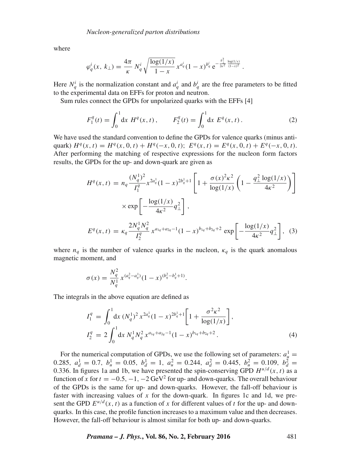where

$$
\varphi_q^i(x,\,k_\perp) = \frac{4\pi}{\kappa} \, N_q^i \, \sqrt{\frac{\log(1/x)}{1-x}} \, x^{a_q^i} (1-x)^{b_q^i} \, e^{-\frac{k_\perp^2}{2\kappa^2} \frac{\log(1/x)}{(1-x)^2}} \, .
$$

Here  $N_q^i$  is the normalization constant and  $a_q^i$  and  $b_q^i$  are the free parameters to be fitted to the experimental data on EFFs for proton and neutron.

Sum rules connect the GPDs for unpolarized quarks with the EFFs [4]

$$
F_1^q(t) = \int_0^1 dx \ H^q(x, t), \qquad F_2^q(t) = \int_0^1 dx \ E^q(x, t).
$$
 (2)

We have used the standard convention to define the GPDs for valence quarks (minus antiquark)  $H^q(x, t) = H^q(x, 0, t) + H^q(-x, 0, t); E^q(x, t) = E^q(x, 0, t) + E^q(-x, 0, t).$ After performing the matching of respective expressions for the nucleon form factors results, the GPDs for the up- and down-quark are given as

$$
H^{q}(x,t) = n_{q} \frac{(N_{q}^{1})^{2}}{I_{1}^{q}} x^{2a_{q}^{1}} (1-x)^{2b_{q}^{1}+1} \left[ 1 + \frac{\sigma(x)^{2} \kappa^{2}}{\log(1/x)} \left( 1 - \frac{q_{\perp}^{2} \log(1/x)}{4\kappa^{2}} \right) \right]
$$

$$
\times \exp\left[ -\frac{\log(1/x)}{4\kappa^{2}} q_{\perp}^{2} \right],
$$

$$
E^{q}(x,t) = \kappa_{q} \frac{2N_{q}^{1} N_{q}^{2}}{I_{2}^{q}} x^{a_{1q}+a_{2q}-1} (1-x)^{b_{1q}+b_{2q}+2} \exp\left[ -\frac{\log(1/x)}{4\kappa^{2}} q_{\perp}^{2} \right], \quad (3)
$$

where  $n_q$  is the number of valence quarks in the nucleon,  $\kappa_q$  is the quark anomalous magnetic moment, and

$$
\sigma(x) = \frac{N_q^2}{N_q^1} x^{(a_q^2 - a_q^1)} (1 - x)^{(b_q^2 - b_q^1 + 1)}.
$$

The integrals in the above equation are defined as

$$
I_1^q = \int_0^1 dx \, (N_q^1)^2 x^{2a_q^1} (1-x)^{2b_q^1+1} \bigg[ 1 + \frac{\sigma^2 \kappa^2}{\log(1/x)} \bigg],
$$
  
\n
$$
I_2^q = 2 \int_0^1 dx \, N_q^1 N_q^2 x^{a_{1q} + a_{2q} - 1} (1-x)^{b_{1q} + b_{2q} + 2}.
$$
\n(4)

For the numerical computation of GPDs, we use the following set of parameters:  $a_{\mu}^1$  = 0.285,  $a_d^1 = 0.7$ ,  $b_u^1 = 0.05$ ,  $b_d^1 = 1$ ,  $a_u^2 = 0.244$ ,  $a_d^2 = 0.445$ ,  $b_u^2 = 0.109$ ,  $b_d^2 = 0.109$ 0.336. In figures 1a and 1b, we have presented the spin-conserving GPD  $H^{u/d}(x, t)$  as a function of x for  $t = -0.5, -1, -2 \text{ GeV}^2$  for up- and down-quarks. The overall behaviour of the GPDs is the same for up- and down-quarks. However, the fall-off behaviour is faster with increasing values of  $x$  for the down-quark. In figures 1c and 1d, we present the GPD  $E^{u/d}(x, t)$  as a function of x for different values of t for the up- and downquarks. In this case, the profile function increases to a maximum value and then decreases. However, the fall-off behaviour is almost similar for both up- and down-quarks.

*Pramana – J. Phys.***, Vol. 86, No. 2, February 2016** 481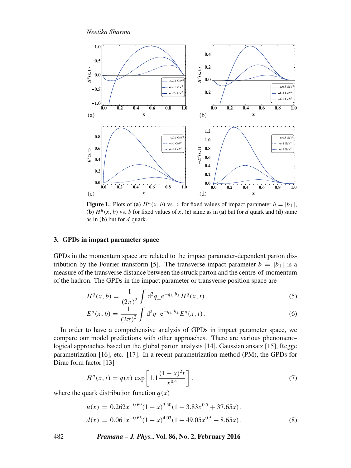*Neetika Sharma*



**Figure 1.** Plots of (**a**)  $H^u(x, b)$  vs. x for fixed values of impact parameter  $b = |b_\perp|$ , (**b**)  $H^u(x, b)$  vs. *b* for fixed values of x, (**c**) same as in (**a**) but for d quark and (**d**) same as in  $(b)$  but for  $d$  quark.

# **3. GPDs in impact parameter space**

GPDs in the momentum space are related to the impact parameter-dependent parton distribution by the Fourier transform [5]. The transverse impact parameter  $b = |b_{\perp}|$  is a measure of the transverse distance between the struck parton and the centre-of-momentum of the hadron. The GPDs in the impact parameter or transverse position space are

$$
H^{q}(x,b) = \frac{1}{(2\pi)^{2}} \int d^{2}q_{\perp} e^{-q_{\perp} \cdot b_{\perp}} H^{q}(x,t) , \qquad (5)
$$

$$
E^{q}(x,b) = \frac{1}{(2\pi)^{2}} \int d^{2}q_{\perp} e^{-q_{\perp} \cdot b_{\perp}} E^{q}(x,t).
$$
 (6)

In order to have a comprehensive analysis of GPDs in impact parameter space, we compare our model predictions with other approaches. There are various phenomenological approaches based on the global parton analysis [14], Gaussian ansatz [15], Regge parametrization [16], etc. [17]. In a recent parametrization method (PM), the GPDs for Dirac form factor [13]

$$
H^{q}(x,t) = q(x) \exp\left[1.1 \frac{(1-x)^{2}t}{x^{0.4}}\right],
$$
\n(7)

where the quark distribution function  $q(x)$ 

$$
u(x) = 0.262x^{-0.69}(1 - x)^{3.50}(1 + 3.83x^{0.5} + 37.65x),
$$
  
\n
$$
d(x) = 0.061x^{-0.65}(1 - x)^{4.03}(1 + 49.05x^{0.5} + 8.65x).
$$
\n(8)

482 *Pramana – J. Phys.***, Vol. 86, No. 2, February 2016**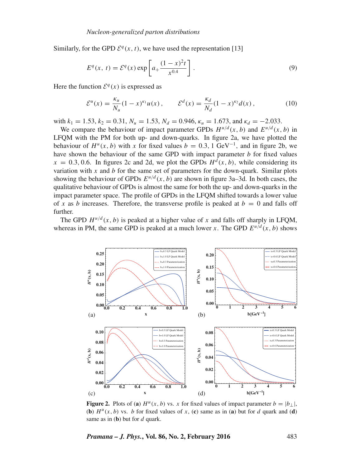Similarly, for the GPD  $\mathcal{E}^q(x, t)$ , we have used the representation [13]

$$
E^{q}(x, t) = \mathcal{E}^{q}(x) \exp\left[a_{+} \frac{(1-x)^{2} t}{x^{0.4}}\right].
$$
 (9)

Here the function  $\mathcal{E}^q(x)$  is expressed as

$$
\mathcal{E}^{u}(x) = \frac{\kappa_{u}}{N_{u}} (1 - x)^{\kappa_{1}} u(x) , \qquad \mathcal{E}^{d}(x) = \frac{\kappa_{d}}{N_{d}} (1 - x)^{\kappa_{2}} d(x) , \qquad (10)
$$

with  $k_1 = 1.53$ ,  $k_2 = 0.31$ ,  $N_u = 1.53$ ,  $N_d = 0.946$ ,  $\kappa_u = 1.673$ , and  $\kappa_d = -2.033$ .

We compare the behaviour of impact parameter GPDs  $H^{u/d}(x, b)$  and  $E^{u/d}(x, b)$  in LFQM with the PM for both up- and down-quarks. In figure 2a, we have plotted the behaviour of  $H^u(x, b)$  with x for fixed values  $b = 0.3, 1 \text{ GeV}^{-1}$ , and in figure 2b, we have shown the behaviour of the same GPD with impact parameter  $b$  for fixed values  $x = 0.3, 0.6$ . In figures 2c and 2d, we plot the GPDs  $H<sup>d</sup>(x, b)$ , while considering its variation with x and  $b$  for the same set of parameters for the down-quark. Similar plots showing the behaviour of GPDs  $E^{u/d}(x, b)$  are shown in figure 3a–3d. In both cases, the qualitative behaviour of GPDs is almost the same for both the up- and down-quarks in the impact parameter space. The profile of GPDs in the LFQM shifted towards a lower value of x as b increases. Therefore, the transverse profile is peaked at  $b = 0$  and falls off further.

The GPD  $H^{u/d}(x, b)$  is peaked at a higher value of x and falls off sharply in LFOM, whereas in PM, the same GPD is peaked at a much lower x. The GPD  $E^{u/d}(x, b)$  shows



**Figure 2.** Plots of (a)  $H^u(x, b)$  vs. x for fixed values of impact parameter  $b = |b_\perp|$ , (**b**)  $H^u(x, b)$  vs. *b* for fixed values of x, (**c**) same as in (**a**) but for d quark and (**d**) same as in  $(b)$  but for d quark.

*Pramana – J. Phys.***, Vol. 86, No. 2, February 2016** 483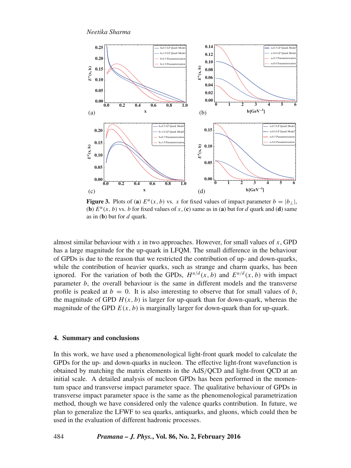*Neetika Sharma*



**Figure 3.** Plots of (a)  $E^u(x, b)$  vs. x for fixed values of impact parameter  $b = |b_\perp|$ , (**b**)  $E^u(x, b)$  vs. *b* for fixed values of x, (**c**) same as in (**a**) but for d quark and (**d**) same as in  $(b)$  but for  $d$  quark.

almost similar behaviour with x in two approaches. However, for small values of  $x$ , GPD has a large magnitude for the up-quark in LFQM. The small difference in the behaviour of GPDs is due to the reason that we restricted the contribution of up- and down-quarks, while the contribution of heavier quarks, such as strange and charm quarks, has been ignored. For the variation of both the GPDs,  $H^{u/d}(x, b)$  and  $E^{u/d}(x, b)$  with impact parameter b, the overall behaviour is the same in different models and the transverse profile is peaked at  $b = 0$ . It is also interesting to observe that for small values of b, the magnitude of GPD  $H(x, b)$  is larger for up-quark than for down-quark, whereas the magnitude of the GPD  $E(x, b)$  is marginally larger for down-quark than for up-quark.

# **4. Summary and conclusions**

In this work, we have used a phenomenological light-front quark model to calculate the GPDs for the up- and down-quarks in nucleon. The effective light-front wavefunction is obtained by matching the matrix elements in the AdS/QCD and light-front QCD at an initial scale. A detailed analysis of nucleon GPDs has been performed in the momentum space and transverse impact parameter space. The qualitative behaviour of GPDs in transverse impact parameter space is the same as the phenomenological parametrization method, though we have considered only the valence quarks contribution. In future, we plan to generalize the LFWF to sea quarks, antiquarks, and gluons, which could then be used in the evaluation of different hadronic processes.